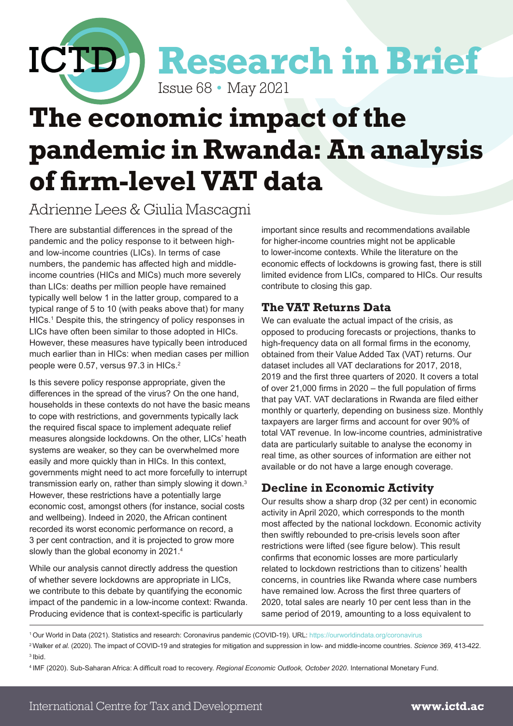

## **The economic impact of the pandemic in Rwanda: An analysis of firm-level VAT data**

### Adrienne Lees & Giulia Mascagni

There are substantial differences in the spread of the pandemic and the policy response to it between highand low-income countries (LICs). In terms of case numbers, the pandemic has affected high and middleincome countries (HICs and MICs) much more severely than LICs: deaths per million people have remained typically well below 1 in the latter group, compared to a typical range of 5 to 10 (with peaks above that) for many HICs.1 Despite this, the stringency of policy responses in LICs have often been similar to those adopted in HICs. However, these measures have typically been introduced much earlier than in HICs: when median cases per million people were 0.57, versus 97.3 in HICs.<sup>2</sup>

Is this severe policy response appropriate, given the differences in the spread of the virus? On the one hand, households in these contexts do not have the basic means to cope with restrictions, and governments typically lack the required fiscal space to implement adequate relief measures alongside lockdowns. On the other, LICs' heath systems are weaker, so they can be overwhelmed more easily and more quickly than in HICs. In this context, governments might need to act more forcefully to interrupt transmission early on, rather than simply slowing it down.3 However, these restrictions have a potentially large economic cost, amongst others (for instance, social costs and wellbeing). Indeed in 2020, the African continent recorded its worst economic performance on record, a 3 per cent contraction, and it is projected to grow more slowly than the global economy in 2021.4

While our analysis cannot directly address the question of whether severe lockdowns are appropriate in LICs, we contribute to this debate by quantifying the economic impact of the pandemic in a low-income context: Rwanda. Producing evidence that is context-specific is particularly

important since results and recommendations available for higher-income countries might not be applicable to lower-income contexts. While the literature on the economic effects of lockdowns is growing fast, there is still limited evidence from LICs, compared to HICs. Our results contribute to closing this gap.

#### **The VAT Returns Data**

We can evaluate the actual impact of the crisis, as opposed to producing forecasts or projections, thanks to high-frequency data on all formal firms in the economy, obtained from their Value Added Tax (VAT) returns. Our dataset includes all VAT declarations for 2017, 2018, 2019 and the first three quarters of 2020. It covers a total of over 21,000 firms in 2020 – the full population of firms that pay VAT. VAT declarations in Rwanda are filed either monthly or quarterly, depending on business size. Monthly taxpayers are larger firms and account for over 90% of total VAT revenue. In low-income countries, administrative data are particularly suitable to analyse the economy in real time, as other sources of information are either not available or do not have a large enough coverage.

#### **Decline in Economic Activity**

Our results show a sharp drop (32 per cent) in economic activity in April 2020, which corresponds to the month most affected by the national lockdown. Economic activity then swiftly rebounded to pre-crisis levels soon after restrictions were lifted (see figure below). This result confirms that economic losses are more particularly related to lockdown restrictions than to citizens' health concerns, in countries like Rwanda where case numbers have remained low. Across the first three quarters of 2020, total sales are nearly 10 per cent less than in the same period of 2019, amounting to a loss equivalent to

2 Walker *et al.* (2020). The impact of COVID-19 and strategies for mitigation and suppression in low- and middle-income countries. *Science 369*, 413-422. 3 Ibid.

<sup>1</sup> Our World in Data (2021). Statistics and research: Coronavirus pandemic (COVID-19). URL:<https://ourworldindata.org/coronavirus>

<sup>4</sup> IMF (2020). Sub-Saharan Africa: A difficult road to recovery. *Regional Economic Outlook, October 2020*. International Monetary Fund.